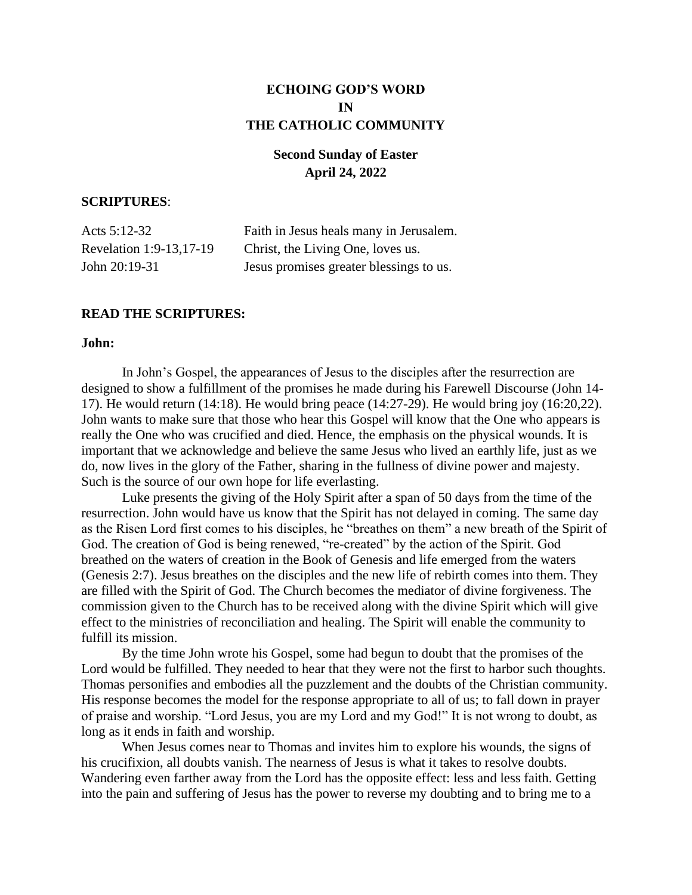# **ECHOING GOD'S WORD IN THE CATHOLIC COMMUNITY**

# **Second Sunday of Easter April 24, 2022**

## **SCRIPTURES**:

| Acts $5:12-32$          | Faith in Jesus heals many in Jerusalem. |
|-------------------------|-----------------------------------------|
| Revelation 1:9-13,17-19 | Christ, the Living One, loves us.       |
| John 20:19-31           | Jesus promises greater blessings to us. |

### **READ THE SCRIPTURES:**

### **John:**

In John's Gospel, the appearances of Jesus to the disciples after the resurrection are designed to show a fulfillment of the promises he made during his Farewell Discourse (John 14- 17). He would return (14:18). He would bring peace (14:27-29). He would bring joy (16:20,22). John wants to make sure that those who hear this Gospel will know that the One who appears is really the One who was crucified and died. Hence, the emphasis on the physical wounds. It is important that we acknowledge and believe the same Jesus who lived an earthly life, just as we do, now lives in the glory of the Father, sharing in the fullness of divine power and majesty. Such is the source of our own hope for life everlasting.

 Luke presents the giving of the Holy Spirit after a span of 50 days from the time of the resurrection. John would have us know that the Spirit has not delayed in coming. The same day as the Risen Lord first comes to his disciples, he "breathes on them" a new breath of the Spirit of God. The creation of God is being renewed, "re-created" by the action of the Spirit. God breathed on the waters of creation in the Book of Genesis and life emerged from the waters (Genesis 2:7). Jesus breathes on the disciples and the new life of rebirth comes into them. They are filled with the Spirit of God. The Church becomes the mediator of divine forgiveness. The commission given to the Church has to be received along with the divine Spirit which will give effect to the ministries of reconciliation and healing. The Spirit will enable the community to fulfill its mission.

 By the time John wrote his Gospel, some had begun to doubt that the promises of the Lord would be fulfilled. They needed to hear that they were not the first to harbor such thoughts. Thomas personifies and embodies all the puzzlement and the doubts of the Christian community. His response becomes the model for the response appropriate to all of us; to fall down in prayer of praise and worship. "Lord Jesus, you are my Lord and my God!" It is not wrong to doubt, as long as it ends in faith and worship.

 When Jesus comes near to Thomas and invites him to explore his wounds, the signs of his crucifixion, all doubts vanish. The nearness of Jesus is what it takes to resolve doubts. Wandering even farther away from the Lord has the opposite effect: less and less faith. Getting into the pain and suffering of Jesus has the power to reverse my doubting and to bring me to a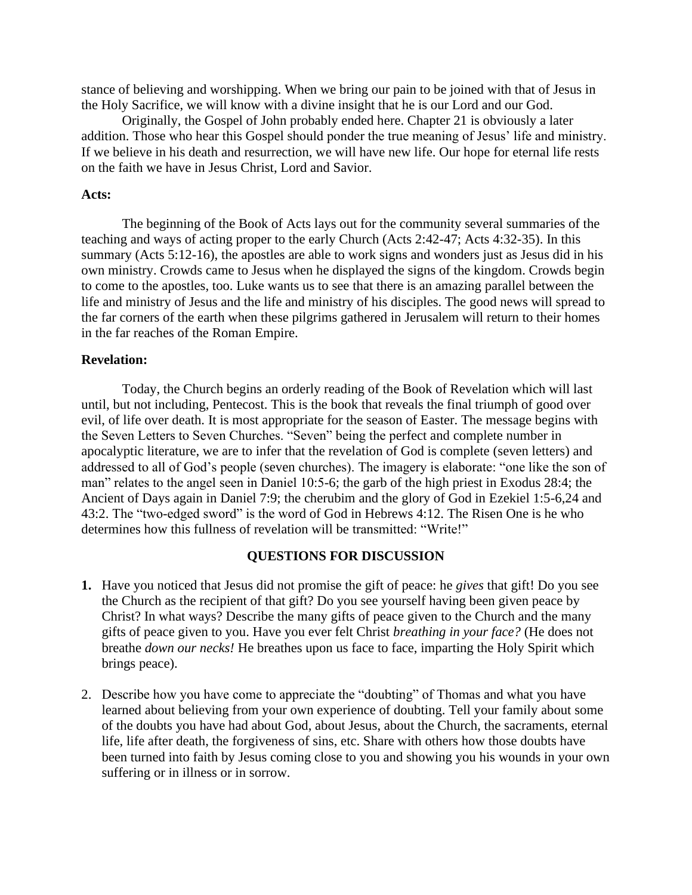stance of believing and worshipping. When we bring our pain to be joined with that of Jesus in the Holy Sacrifice, we will know with a divine insight that he is our Lord and our God.

 Originally, the Gospel of John probably ended here. Chapter 21 is obviously a later addition. Those who hear this Gospel should ponder the true meaning of Jesus' life and ministry. If we believe in his death and resurrection, we will have new life. Our hope for eternal life rests on the faith we have in Jesus Christ, Lord and Savior.

#### **Acts:**

The beginning of the Book of Acts lays out for the community several summaries of the teaching and ways of acting proper to the early Church (Acts 2:42-47; Acts 4:32-35). In this summary (Acts 5:12-16), the apostles are able to work signs and wonders just as Jesus did in his own ministry. Crowds came to Jesus when he displayed the signs of the kingdom. Crowds begin to come to the apostles, too. Luke wants us to see that there is an amazing parallel between the life and ministry of Jesus and the life and ministry of his disciples. The good news will spread to the far corners of the earth when these pilgrims gathered in Jerusalem will return to their homes in the far reaches of the Roman Empire.

### **Revelation:**

 Today, the Church begins an orderly reading of the Book of Revelation which will last until, but not including, Pentecost. This is the book that reveals the final triumph of good over evil, of life over death. It is most appropriate for the season of Easter. The message begins with the Seven Letters to Seven Churches. "Seven" being the perfect and complete number in apocalyptic literature, we are to infer that the revelation of God is complete (seven letters) and addressed to all of God's people (seven churches). The imagery is elaborate: "one like the son of man" relates to the angel seen in Daniel 10:5-6; the garb of the high priest in Exodus 28:4; the Ancient of Days again in Daniel 7:9; the cherubim and the glory of God in Ezekiel 1:5-6,24 and 43:2. The "two-edged sword" is the word of God in Hebrews 4:12. The Risen One is he who determines how this fullness of revelation will be transmitted: "Write!"

#### **QUESTIONS FOR DISCUSSION**

- **1.** Have you noticed that Jesus did not promise the gift of peace: he *gives* that gift! Do you see the Church as the recipient of that gift? Do you see yourself having been given peace by Christ? In what ways? Describe the many gifts of peace given to the Church and the many gifts of peace given to you. Have you ever felt Christ *breathing in your face?* (He does not breathe *down our necks!* He breathes upon us face to face, imparting the Holy Spirit which brings peace).
- 2. Describe how you have come to appreciate the "doubting" of Thomas and what you have learned about believing from your own experience of doubting. Tell your family about some of the doubts you have had about God, about Jesus, about the Church, the sacraments, eternal life, life after death, the forgiveness of sins, etc. Share with others how those doubts have been turned into faith by Jesus coming close to you and showing you his wounds in your own suffering or in illness or in sorrow.